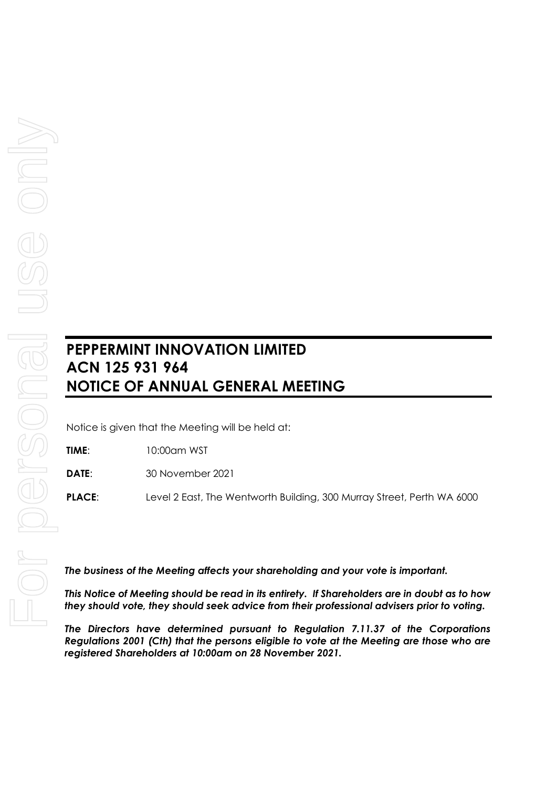## **PEPPERMINT INNOVATION LIMITED ACN 125 931 964 NOTICE OF ANNUAL GENERAL MEETING**

Notice is given that the Meeting will be held at:

**TIME**: 10:00am WST

**DATE**: 30 November 2021

**PLACE**: Level 2 East, The Wentworth Building, 300 Murray Street, Perth WA 6000

*The business of the Meeting affects your shareholding and your vote is important.*

*This Notice of Meeting should be read in its entirety. If Shareholders are in doubt as to how they should vote, they should seek advice from their professional advisers prior to voting.*

*The Directors have determined pursuant to Regulation 7.11.37 of the Corporations Regulations 2001 (Cth) that the persons eligible to vote at the Meeting are those who are registered Shareholders at 10:00am on 28 November 2021.*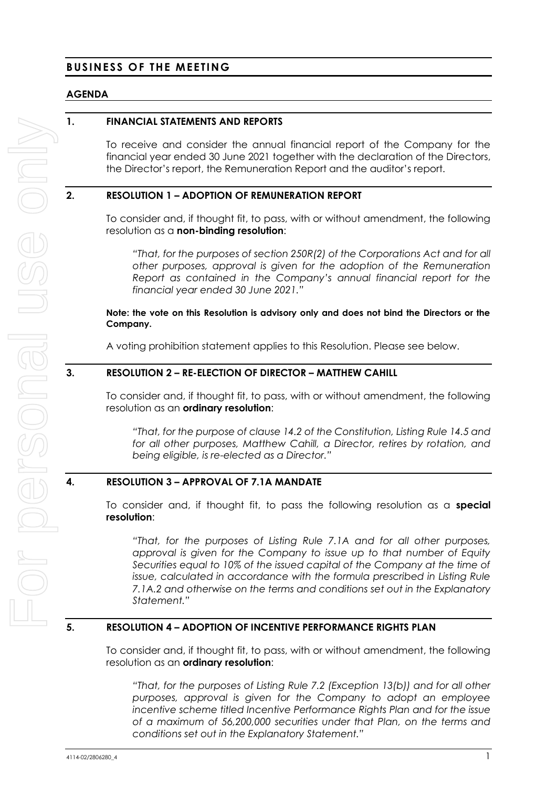## **BUSINESS OF THE MEETING**

#### **AGENDA**

## **1. FINANCIAL STATEMENTS AND REPORTS**

To receive and consider the annual financial report of the Company for the financial year ended 30 June 2021 together with the declaration of the Directors, the Director's report, the Remuneration Report and the auditor's report.

#### **2. RESOLUTION 1 – ADOPTION OF REMUNERATION REPORT**

To consider and, if thought fit, to pass, with or without amendment, the following resolution as a **non-binding resolution**:

*"That, for the purposes of section 250R(2) of the Corporations Act and for all other purposes, approval is given for the adoption of the Remuneration Report as contained in the Company's annual financial report for the financial year ended 30 June 2021."*

#### **Note: the vote on this Resolution is advisory only and does not bind the Directors or the Company.**

A voting prohibition statement applies to this Resolution. Please see below.

#### **3. RESOLUTION 2 – RE-ELECTION OF DIRECTOR – MATTHEW CAHILL**

To consider and, if thought fit, to pass, with or without amendment, the following resolution as an **ordinary resolution**:

*"That, for the purpose of clause 14.2 of the Constitution, Listing Rule 14.5 and for all other purposes, Matthew Cahill, a Director, retires by rotation, and being eligible, is re-elected as a Director."*

## **4. RESOLUTION 3 – APPROVAL OF 7.1A MANDATE**

To consider and, if thought fit, to pass the following resolution as a **special resolution**:

*"That, for the purposes of Listing Rule 7.1A and for all other purposes, approval is given for the Company to issue up to that number of Equity Securities equal to 10% of the issued capital of the Company at the time of issue, calculated in accordance with the formula prescribed in Listing Rule 7.1A.2 and otherwise on the terms and conditions set out in the Explanatory Statement."*

#### **5. RESOLUTION 4 – ADOPTION OF INCENTIVE PERFORMANCE RIGHTS PLAN**

To consider and, if thought fit, to pass, with or without amendment, the following resolution as an **ordinary resolution**:

*"That, for the purposes of Listing Rule 7.2 (Exception 13(b)) and for all other purposes, approval is given for the Company to adopt an employee incentive scheme titled Incentive Performance Rights Plan and for the issue of a maximum of 56,200,000 securities under that Plan, on the terms and conditions set out in the Explanatory Statement."*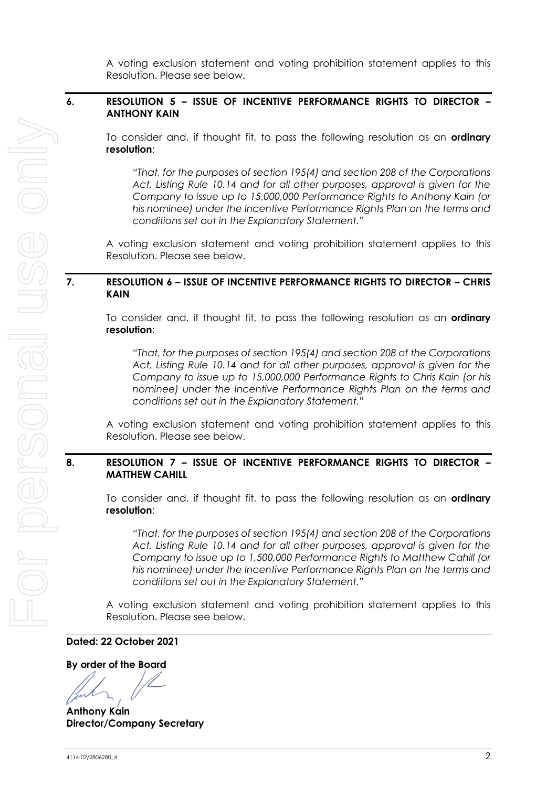A voting exclusion statement and voting prohibition statement applies to this Resolution. Please see below.

## **6. RESOLUTION 5 – ISSUE OF INCENTIVE PERFORMANCE RIGHTS TO DIRECTOR – ANTHONY KAIN**

To consider and, if thought fit, to pass the following resolution as an **ordinary resolution**:

*"That, for the purposes of section 195(4) and section 208 of the Corporations Act, Listing Rule 10.14 and for all other purposes, approval is given for the Company to issue up to 15,000,000 Performance Rights to Anthony Kain (or his nominee) under the Incentive Performance Rights Plan on the terms and conditions set out in the Explanatory Statement."*

A voting exclusion statement and voting prohibition statement applies to this Resolution. Please see below.

## **7. RESOLUTION 6 – ISSUE OF INCENTIVE PERFORMANCE RIGHTS TO DIRECTOR – CHRIS KAIN**

To consider and, if thought fit, to pass the following resolution as an **ordinary resolution**:

*"That, for the purposes of section 195(4) and section 208 of the Corporations Act, Listing Rule 10.14 and for all other purposes, approval is given for the Company to issue up to 15,000,000 Performance Rights to Chris Kain (or his nominee) under the Incentive Performance Rights Plan on the terms and conditions set out in the Explanatory Statement."*

A voting exclusion statement and voting prohibition statement applies to this Resolution. Please see below.

## **8. RESOLUTION 7 – ISSUE OF INCENTIVE PERFORMANCE RIGHTS TO DIRECTOR – MATTHEW CAHILL**

To consider and, if thought fit, to pass the following resolution as an **ordinary resolution**:

*"That, for the purposes of section 195(4) and section 208 of the Corporations Act, Listing Rule 10.14 and for all other purposes, approval is given for the Company to issue up to 1,500,000 Performance Rights to Matthew Cahill (or his nominee) under the Incentive Performance Rights Plan on the terms and conditions set out in the Explanatory Statement."*

A voting exclusion statement and voting prohibition statement applies to this Resolution. Please see below.

**Dated: 22 October 2021**

**By order of the Board**

**Anthony Kain Director/Company Secretary**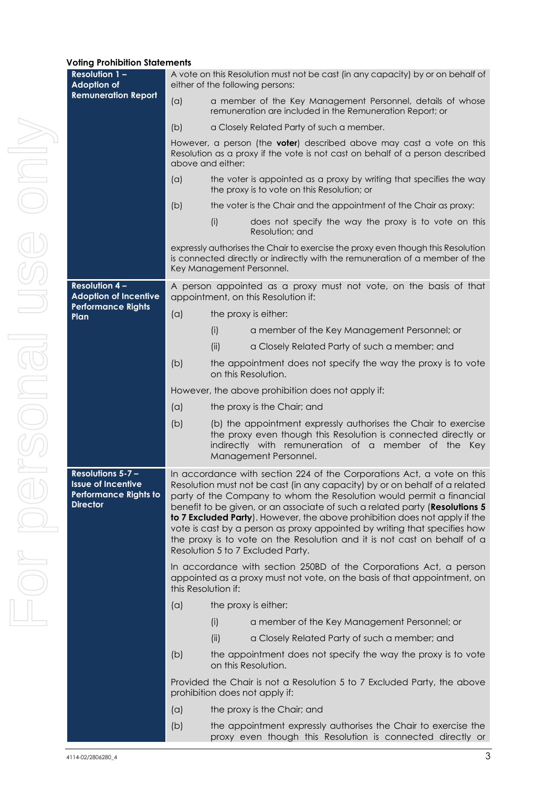#### **Voting Prohibition Statements**

| <b>Resolution 1-</b><br><b>Adoption of</b>                                                              | A vote on this Resolution must not be cast (in any capacity) by or on behalf of<br>either of the following persons:                                                                                                                                                                                                                                                                                                                                                                                                                                                                     |                                                                                                                                                                                                                  |  |  |  |  |  |
|---------------------------------------------------------------------------------------------------------|-----------------------------------------------------------------------------------------------------------------------------------------------------------------------------------------------------------------------------------------------------------------------------------------------------------------------------------------------------------------------------------------------------------------------------------------------------------------------------------------------------------------------------------------------------------------------------------------|------------------------------------------------------------------------------------------------------------------------------------------------------------------------------------------------------------------|--|--|--|--|--|
| <b>Remuneration Report</b>                                                                              | (a)                                                                                                                                                                                                                                                                                                                                                                                                                                                                                                                                                                                     | a member of the Key Management Personnel, details of whose<br>remuneration are included in the Remuneration Report; or                                                                                           |  |  |  |  |  |
|                                                                                                         | (b)                                                                                                                                                                                                                                                                                                                                                                                                                                                                                                                                                                                     | a Closely Related Party of such a member.                                                                                                                                                                        |  |  |  |  |  |
|                                                                                                         | However, a person (the <b>voter</b> ) described above may cast a vote on this<br>Resolution as a proxy if the vote is not cast on behalf of a person described<br>above and either:                                                                                                                                                                                                                                                                                                                                                                                                     |                                                                                                                                                                                                                  |  |  |  |  |  |
|                                                                                                         | (a)                                                                                                                                                                                                                                                                                                                                                                                                                                                                                                                                                                                     | the voter is appointed as a proxy by writing that specifies the way<br>the proxy is to vote on this Resolution; or                                                                                               |  |  |  |  |  |
|                                                                                                         | (b)                                                                                                                                                                                                                                                                                                                                                                                                                                                                                                                                                                                     | the voter is the Chair and the appointment of the Chair as proxy:                                                                                                                                                |  |  |  |  |  |
|                                                                                                         |                                                                                                                                                                                                                                                                                                                                                                                                                                                                                                                                                                                         | does not specify the way the proxy is to vote on this<br>(i)<br>Resolution; and                                                                                                                                  |  |  |  |  |  |
|                                                                                                         |                                                                                                                                                                                                                                                                                                                                                                                                                                                                                                                                                                                         | expressly authorises the Chair to exercise the proxy even though this Resolution<br>is connected directly or indirectly with the remuneration of a member of the<br>Key Management Personnel.                    |  |  |  |  |  |
| <b>Resolution 4-</b><br><b>Adoption of Incentive</b>                                                    |                                                                                                                                                                                                                                                                                                                                                                                                                                                                                                                                                                                         | A person appointed as a proxy must not vote, on the basis of that<br>appointment, on this Resolution if:                                                                                                         |  |  |  |  |  |
| <b>Performance Rights</b><br>Plan                                                                       | (a)                                                                                                                                                                                                                                                                                                                                                                                                                                                                                                                                                                                     | the proxy is either:                                                                                                                                                                                             |  |  |  |  |  |
|                                                                                                         |                                                                                                                                                                                                                                                                                                                                                                                                                                                                                                                                                                                         | (i)<br>a member of the Key Management Personnel; or                                                                                                                                                              |  |  |  |  |  |
|                                                                                                         |                                                                                                                                                                                                                                                                                                                                                                                                                                                                                                                                                                                         | (ii)<br>a Closely Related Party of such a member; and                                                                                                                                                            |  |  |  |  |  |
|                                                                                                         | (b)                                                                                                                                                                                                                                                                                                                                                                                                                                                                                                                                                                                     | the appointment does not specify the way the proxy is to vote<br>on this Resolution.                                                                                                                             |  |  |  |  |  |
|                                                                                                         |                                                                                                                                                                                                                                                                                                                                                                                                                                                                                                                                                                                         | However, the above prohibition does not apply if:                                                                                                                                                                |  |  |  |  |  |
|                                                                                                         | (a)<br>the proxy is the Chair; and                                                                                                                                                                                                                                                                                                                                                                                                                                                                                                                                                      |                                                                                                                                                                                                                  |  |  |  |  |  |
|                                                                                                         | (b)                                                                                                                                                                                                                                                                                                                                                                                                                                                                                                                                                                                     | (b) the appointment expressly authorises the Chair to exercise<br>the proxy even though this Resolution is connected directly or<br>indirectly with remuneration of a member of the Key<br>Management Personnel. |  |  |  |  |  |
| <b>Resolutions 5-7-</b><br><b>Issue of Incentive</b><br><b>Performance Rights to</b><br><b>Director</b> | In accordance with section 224 of the Corporations Act, a vote on this<br>Resolution must not be cast (in any capacity) by or on behalf of a related<br>party of the Company to whom the Resolution would permit a financial<br>benefit to be given, or an associate of such a related party (Resolutions 5<br>to 7 Excluded Party). However, the above prohibition does not apply if the<br>vote is cast by a person as proxy appointed by writing that specifies how<br>the proxy is to vote on the Resolution and it is not cast on behalf of a<br>Resolution 5 to 7 Excluded Party. |                                                                                                                                                                                                                  |  |  |  |  |  |
|                                                                                                         | In accordance with section 250BD of the Corporations Act, a person<br>appointed as a proxy must not vote, on the basis of that appointment, on<br>this Resolution if:                                                                                                                                                                                                                                                                                                                                                                                                                   |                                                                                                                                                                                                                  |  |  |  |  |  |
|                                                                                                         | (a)                                                                                                                                                                                                                                                                                                                                                                                                                                                                                                                                                                                     | the proxy is either:                                                                                                                                                                                             |  |  |  |  |  |
|                                                                                                         |                                                                                                                                                                                                                                                                                                                                                                                                                                                                                                                                                                                         | (i)<br>a member of the Key Management Personnel; or                                                                                                                                                              |  |  |  |  |  |
|                                                                                                         |                                                                                                                                                                                                                                                                                                                                                                                                                                                                                                                                                                                         | (ii)<br>a Closely Related Party of such a member; and                                                                                                                                                            |  |  |  |  |  |
|                                                                                                         | (b)                                                                                                                                                                                                                                                                                                                                                                                                                                                                                                                                                                                     | the appointment does not specify the way the proxy is to vote<br>on this Resolution.                                                                                                                             |  |  |  |  |  |
|                                                                                                         |                                                                                                                                                                                                                                                                                                                                                                                                                                                                                                                                                                                         | Provided the Chair is not a Resolution 5 to 7 Excluded Party, the above<br>prohibition does not apply if:                                                                                                        |  |  |  |  |  |
|                                                                                                         | (a)                                                                                                                                                                                                                                                                                                                                                                                                                                                                                                                                                                                     | the proxy is the Chair; and                                                                                                                                                                                      |  |  |  |  |  |
|                                                                                                         | (b)                                                                                                                                                                                                                                                                                                                                                                                                                                                                                                                                                                                     | the appointment expressly authorises the Chair to exercise the<br>proxy even though this Resolution is connected directly or                                                                                     |  |  |  |  |  |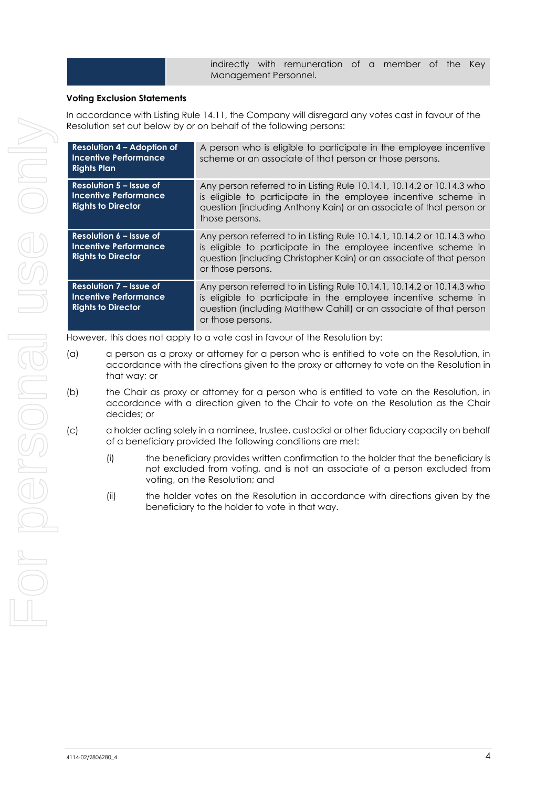indirectly with remuneration of a member of the Key Management Personnel.

#### **Voting Exclusion Statements**

In accordance with Listing Rule 14.11, the Company will disregard any votes cast in favour of the Resolution set out below by or on behalf of the following persons:

| <b>Resolution 4 - Adoption of</b><br><b>Incentive Performance</b><br><b>Rights Plan</b>     | A person who is eligible to participate in the employee incentive<br>scheme or an associate of that person or those persons.                                                                                                          |
|---------------------------------------------------------------------------------------------|---------------------------------------------------------------------------------------------------------------------------------------------------------------------------------------------------------------------------------------|
| Resolution 5 – Issue of<br><b>Incentive Performance</b><br><b>Rights to Director</b>        | Any person referred to in Listing Rule 10.14.1, 10.14.2 or 10.14.3 who<br>is eligible to participate in the employee incentive scheme in<br>question (including Anthony Kain) or an associate of that person or<br>those persons.     |
| Resolution 6 – Issue of<br><b>Incentive Performance</b><br><b>Rights to Director</b>        | Any person referred to in Listing Rule 10.14.1, 10.14.2 or 10.14.3 who<br>is eligible to participate in the employee incentive scheme in<br>question (including Christopher Kain) or an associate of that person<br>or those persons. |
| <b>Resolution 7 - Issue of</b><br><b>Incentive Performance</b><br><b>Rights to Director</b> | Any person referred to in Listing Rule 10.14.1, 10.14.2 or 10.14.3 who<br>is eligible to participate in the employee incentive scheme in<br>question (including Matthew Cahill) or an associate of that person<br>or those persons.   |

However, this does not apply to a vote cast in favour of the Resolution by:

- (a) a person as a proxy or attorney for a person who is entitled to vote on the Resolution, in accordance with the directions given to the proxy or attorney to vote on the Resolution in that way; or
- (b) the Chair as proxy or attorney for a person who is entitled to vote on the Resolution, in accordance with a direction given to the Chair to vote on the Resolution as the Chair decides; or
- (c) a holder acting solely in a nominee, trustee, custodial or other fiduciary capacity on behalf of a beneficiary provided the following conditions are met:
	- (i) the beneficiary provides written confirmation to the holder that the beneficiary is not excluded from voting, and is not an associate of a person excluded from voting, on the Resolution; and
	- (ii) the holder votes on the Resolution in accordance with directions given by the beneficiary to the holder to vote in that way.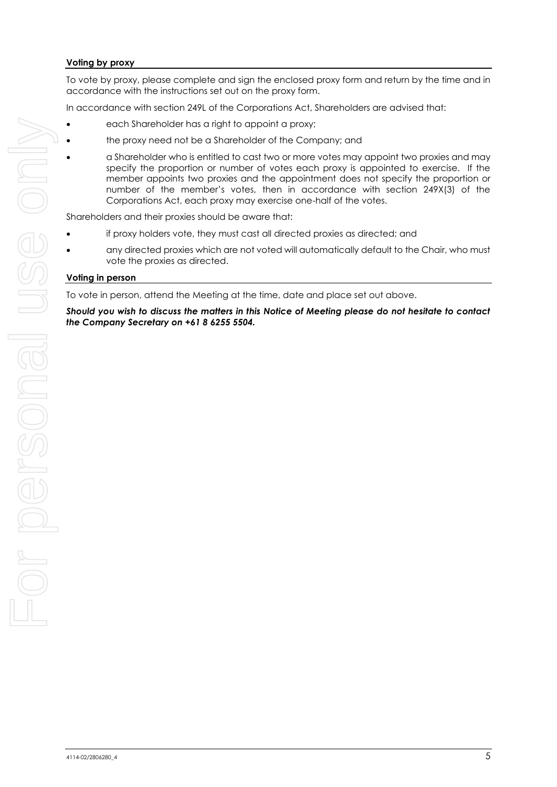#### **Voting by proxy**

To vote by proxy, please complete and sign the enclosed proxy form and return by the time and in accordance with the instructions set out on the proxy form.

In accordance with section 249L of the Corporations Act, Shareholders are advised that:

- each Shareholder has a right to appoint a proxy;
- the proxy need not be a Shareholder of the Company; and
- a Shareholder who is entitled to cast two or more votes may appoint two proxies and may specify the proportion or number of votes each proxy is appointed to exercise. If the member appoints two proxies and the appointment does not specify the proportion or number of the member's votes, then in accordance with section 249X(3) of the Corporations Act, each proxy may exercise one-half of the votes.

Shareholders and their proxies should be aware that:

- if proxy holders vote, they must cast all directed proxies as directed; and
- any directed proxies which are not voted will automatically default to the Chair, who must vote the proxies as directed.

#### **Voting in person**

To vote in person, attend the Meeting at the time, date and place set out above.

*Should you wish to discuss the matters in this Notice of Meeting please do not hesitate to contact the Company Secretary on +61 8 6255 5504.*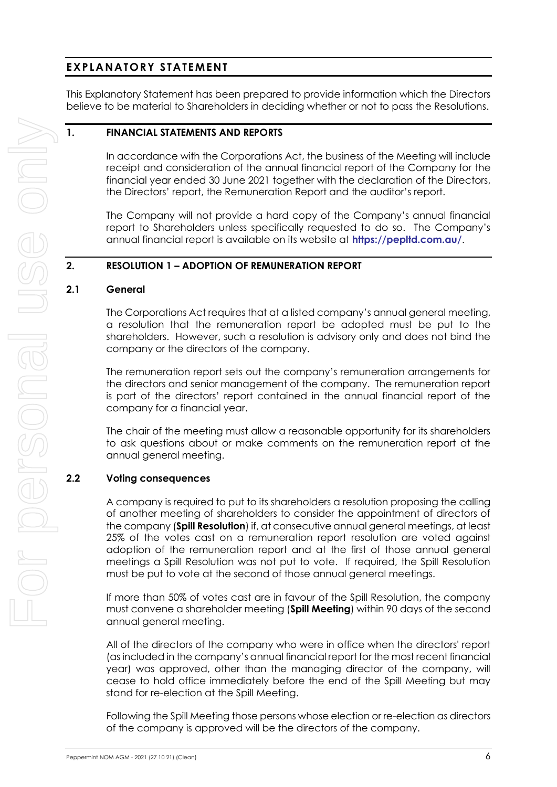## **EXPLANATORY STATEMENT**

This Explanatory Statement has been prepared to provide information which the Directors believe to be material to Shareholders in deciding whether or not to pass the Resolutions.

## **1. FINANCIAL STATEMENTS AND REPORTS**

In accordance with the Corporations Act, the business of the Meeting will include receipt and consideration of the annual financial report of the Company for the financial year ended 30 June 2021 together with the declaration of the Directors, the Directors' report, the Remuneration Report and the auditor's report.

The Company will not provide a hard copy of the Company's annual financial report to Shareholders unless specifically requested to do so. The Company's annual financial report is available on its website at **<https://pepltd.com.au/>**.

## **2. RESOLUTION 1 – ADOPTION OF REMUNERATION REPORT**

#### **2.1 General**

The Corporations Act requires that at a listed company's annual general meeting, a resolution that the remuneration report be adopted must be put to the shareholders. However, such a resolution is advisory only and does not bind the company or the directors of the company.

The remuneration report sets out the company's remuneration arrangements for the directors and senior management of the company. The remuneration report is part of the directors' report contained in the annual financial report of the company for a financial year.

The chair of the meeting must allow a reasonable opportunity for its shareholders to ask questions about or make comments on the remuneration report at the annual general meeting.

## **2.2 Voting consequences**

A company is required to put to its shareholders a resolution proposing the calling of another meeting of shareholders to consider the appointment of directors of the company (**Spill Resolution**) if, at consecutive annual general meetings, at least 25% of the votes cast on a remuneration report resolution are voted against adoption of the remuneration report and at the first of those annual general meetings a Spill Resolution was not put to vote. If required, the Spill Resolution must be put to vote at the second of those annual general meetings.

If more than 50% of votes cast are in favour of the Spill Resolution, the company must convene a shareholder meeting (**Spill Meeting**) within 90 days of the second annual general meeting.

All of the directors of the company who were in office when the directors' report (as included in the company's annual financial report for the most recent financial year) was approved, other than the managing director of the company, will cease to hold office immediately before the end of the Spill Meeting but may stand for re-election at the Spill Meeting.

Following the Spill Meeting those persons whose election or re-election as directors of the company is approved will be the directors of the company.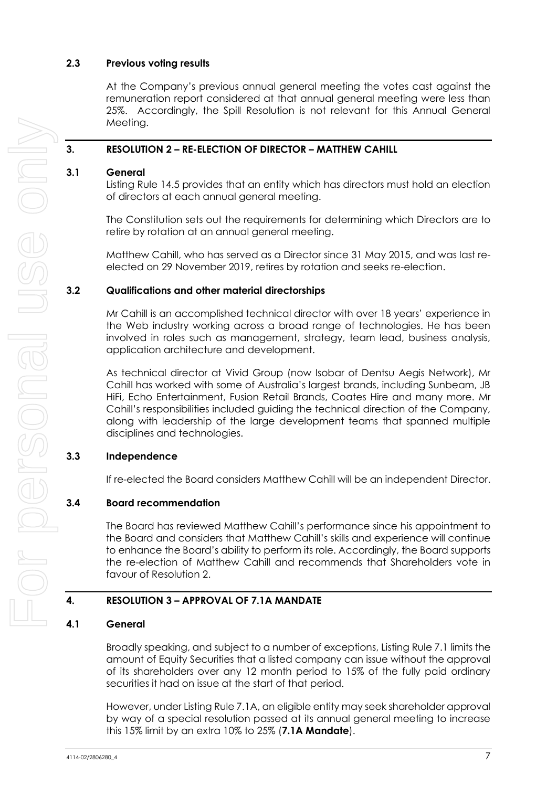## **2.3 Previous voting results**

At the Company's previous annual general meeting the votes cast against the remuneration report considered at that annual general meeting were less than 25%. Accordingly, the Spill Resolution is not relevant for this Annual General Meeting.

## **3. RESOLUTION 2 – RE-ELECTION OF DIRECTOR – MATTHEW CAHILL**

## **3.1 General**

Listing Rule 14.5 provides that an entity which has directors must hold an election of directors at each annual general meeting.

The Constitution sets out the requirements for determining which Directors are to retire by rotation at an annual general meeting.

Matthew Cahill, who has served as a Director since 31 May 2015, and was last reelected on 29 November 2019, retires by rotation and seeks re-election.

#### **3.2 Qualifications and other material directorships**

Mr Cahill is an accomplished technical director with over 18 years' experience in the Web industry working across a broad range of technologies. He has been involved in roles such as management, strategy, team lead, business analysis, application architecture and development.

As technical director at Vivid Group (now Isobar of Dentsu Aegis Network), Mr Cahill has worked with some of Australia's largest brands, including Sunbeam, JB HiFi, Echo Entertainment, Fusion Retail Brands, Coates Hire and many more. Mr Cahill's responsibilities included guiding the technical direction of the Company, along with leadership of the large development teams that spanned multiple disciplines and technologies.

## **3.3 Independence**

If re-elected the Board considers Matthew Cahill will be an independent Director.

## **3.4 Board recommendation**

The Board has reviewed Matthew Cahill's performance since his appointment to the Board and considers that Matthew Cahill's skills and experience will continue to enhance the Board's ability to perform its role. Accordingly, the Board supports the re-election of Matthew Cahill and recommends that Shareholders vote in favour of Resolution 2.

## **4. RESOLUTION 3 – APPROVAL OF 7.1A MANDATE**

## <span id="page-7-0"></span>**4.1 General**

Broadly speaking, and subject to a number of exceptions, Listing Rule 7.1 limits the amount of Equity Securities that a listed company can issue without the approval of its shareholders over any 12 month period to 15% of the fully paid ordinary securities it had on issue at the start of that period.

However, under Listing Rule 7.1A, an eligible entity may seek shareholder approval by way of a special resolution passed at its annual general meeting to increase this 15% limit by an extra 10% to 25% (**7.1A Mandate**).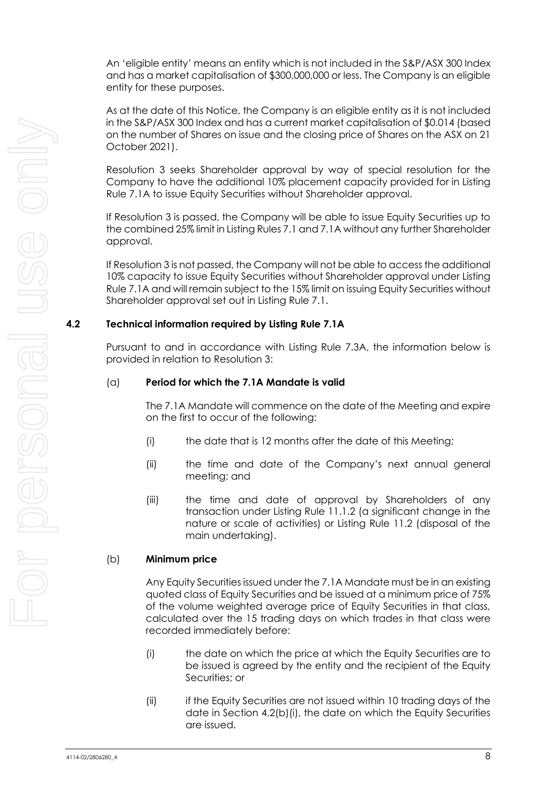An 'eligible entity' means an entity which is not included in the S&P/ASX 300 Index and has a market capitalisation of \$300,000,000 or less. The Company is an eligible entity for these purposes.

As at the date of this Notice, the Company is an eligible entity as it is not included in the S&P/ASX 300 Index and has a current market capitalisation of \$0.014 (based on the number of Shares on issue and the closing price of Shares on the ASX on 21 October 2021).

Resolution 3 seeks Shareholder approval by way of special resolution for the Company to have the additional 10% placement capacity provided for in Listing Rule 7.1A to issue Equity Securities without Shareholder approval.

If Resolution 3 is passed, the Company will be able to issue Equity Securities up to the combined 25% limit in Listing Rules 7.1 and 7.1A without any further Shareholder approval.

If Resolution 3 is not passed, the Company will not be able to access the additional 10% capacity to issue Equity Securities without Shareholder approval under Listing Rule 7.1A and will remain subject to the 15% limit on issuing Equity Securities without Shareholder approval set out in Listing Rule 7.1.

## **4.2 Technical information required by Listing Rule 7.1A**

Pursuant to and in accordance with Listing Rule 7.3A, the information below is provided in relation to Resolution 3:

## (a) **Period for which the 7.1A Mandate is valid**

The 7.1A Mandate will commence on the date of the Meeting and expire on the first to occur of the following:

- (i) the date that is 12 months after the date of this Meeting;
- (ii) the time and date of the Company's next annual general meeting; and
- (iii) the time and date of approval by Shareholders of any transaction under Listing Rule 11.1.2 (a significant change in the nature or scale of activities) or Listing Rule 11.2 (disposal of the main undertaking).

## (b) **Minimum price**

Any Equity Securities issued under the 7.1A Mandate must be in an existing quoted class of Equity Securities and be issued at a minimum price of 75% of the volume weighted average price of Equity Securities in that class, calculated over the 15 trading days on which trades in that class were recorded immediately before:

- <span id="page-8-0"></span>(i) the date on which the price at which the Equity Securities are to be issued is agreed by the entity and the recipient of the Equity Securities; or
- (ii) if the Equity Securities are not issued within 10 trading days of the date in Section [4.2\(b\)\(i\),](#page-8-0) the date on which the Equity Securities are issued.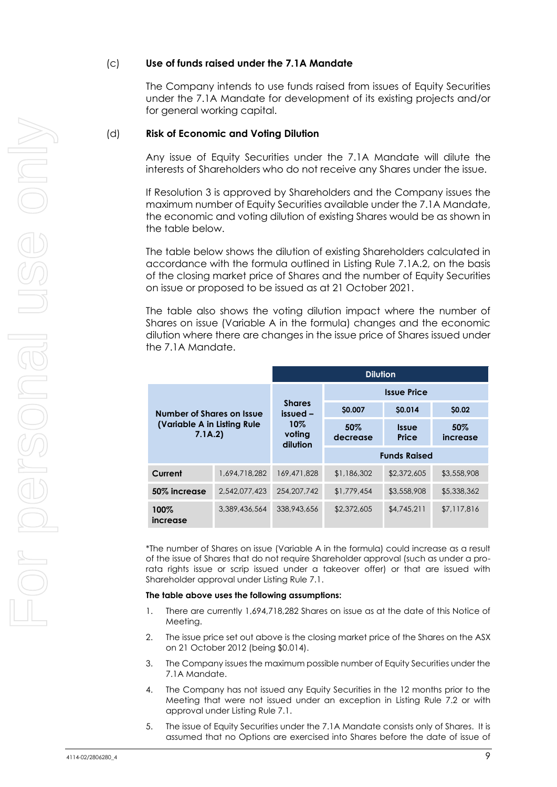## (c) **Use of funds raised under the 7.1A Mandate**

The Company intends to use funds raised from issues of Equity Securities under the 7.1A Mandate for development of its existing projects and/or for general working capital.

#### (d) **Risk of Economic and Voting Dilution**

Any issue of Equity Securities under the 7.1A Mandate will dilute the interests of Shareholders who do not receive any Shares under the issue.

If Resolution 3 is approved by Shareholders and the Company issues the maximum number of Equity Securities available under the 7.1A Mandate, the economic and voting dilution of existing Shares would be as shown in the table below.

The table below shows the dilution of existing Shareholders calculated in accordance with the formula outlined in Listing Rule 7.1A.2, on the basis of the closing market price of Shares and the number of Equity Securities on issue or proposed to be issued as at 21 October 2021.

The table also shows the voting dilution impact where the number of Shares on issue (Variable A in the formula) changes and the economic dilution where there are changes in the issue price of Shares issued under the 7.1A Mandate.

|                                                                     |               | <b>Dilution</b>                                        |                    |                       |                 |  |
|---------------------------------------------------------------------|---------------|--------------------------------------------------------|--------------------|-----------------------|-----------------|--|
| Number of Shares on Issue<br>(Variable A in Listing Rule)<br>7.1A.2 |               | <b>Shares</b><br>issued -<br>10%<br>voting<br>dilution | <b>Issue Price</b> |                       |                 |  |
|                                                                     |               |                                                        | \$0.007            | <b>SO.014</b>         | \$0.02          |  |
|                                                                     |               |                                                        | 50%<br>decrease    | <b>Issue</b><br>Price | 50%<br>increase |  |
|                                                                     |               |                                                        |                    | <b>Funds Raised</b>   |                 |  |
| Current                                                             | 1,694,718,282 | 169,471,828                                            | \$1,186,302        | \$2,372,605           | \$3,558,908     |  |
| 50% increase                                                        | 2,542,077,423 | 254, 207, 742                                          | \$1,779,454        | \$3,558,908           | \$5,338,362     |  |
| 100%<br>increase                                                    | 3.389.436.564 | 338,943,656                                            | \$2,372,605        | \$4,745,211           | \$7,117,816     |  |

\*The number of Shares on issue (Variable A in the formula) could increase as a result of the issue of Shares that do not require Shareholder approval (such as under a prorata rights issue or scrip issued under a takeover offer) or that are issued with Shareholder approval under Listing Rule 7.1.

#### **The table above uses the following assumptions:**

- 1. There are currently 1,694,718,282 Shares on issue as at the date of this Notice of Meeting.
- 2. The issue price set out above is the closing market price of the Shares on the ASX on 21 October 2012 (being \$0.014).
- 3. The Company issues the maximum possible number of Equity Securities under the 7.1A Mandate.
- 4. The Company has not issued any Equity Securities in the 12 months prior to the Meeting that were not issued under an exception in Listing Rule 7.2 or with approval under Listing Rule 7.1.
- 5. The issue of Equity Securities under the 7.1A Mandate consists only of Shares. It is assumed that no Options are exercised into Shares before the date of issue of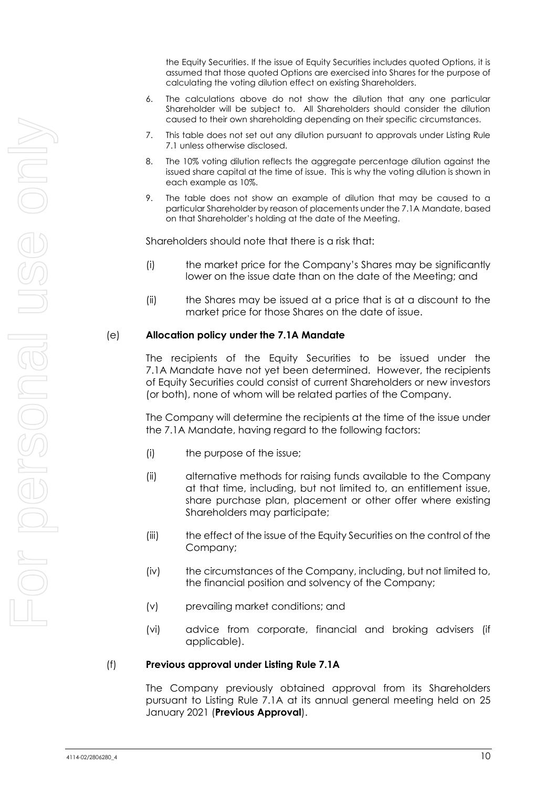the Equity Securities. If the issue of Equity Securities includes quoted Options, it is assumed that those quoted Options are exercised into Shares for the purpose of calculating the voting dilution effect on existing Shareholders.

- 6. The calculations above do not show the dilution that any one particular Shareholder will be subject to. All Shareholders should consider the dilution caused to their own shareholding depending on their specific circumstances.
- 7. This table does not set out any dilution pursuant to approvals under Listing Rule 7.1 unless otherwise disclosed.
- 8. The 10% voting dilution reflects the aggregate percentage dilution against the issued share capital at the time of issue. This is why the voting dilution is shown in each example as 10%.
- 9. The table does not show an example of dilution that may be caused to a particular Shareholder by reason of placements under the 7.1A Mandate, based on that Shareholder's holding at the date of the Meeting.

Shareholders should note that there is a risk that:

- (i) the market price for the Company's Shares may be significantly lower on the issue date than on the date of the Meeting; and
- (ii) the Shares may be issued at a price that is at a discount to the market price for those Shares on the date of issue.

#### (e) **Allocation policy under the 7.1A Mandate**

The recipients of the Equity Securities to be issued under the 7.1A Mandate have not yet been determined. However, the recipients of Equity Securities could consist of current Shareholders or new investors (or both), none of whom will be related parties of the Company.

The Company will determine the recipients at the time of the issue under the 7.1A Mandate, having regard to the following factors:

- (i) the purpose of the issue;
- (ii) alternative methods for raising funds available to the Company at that time, including, but not limited to, an entitlement issue, share purchase plan, placement or other offer where existing Shareholders may participate;
- (iii) the effect of the issue of the Equity Securities on the control of the Company;
- (iv) the circumstances of the Company, including, but not limited to, the financial position and solvency of the Company;
- (v) prevailing market conditions; and
- (vi) advice from corporate, financial and broking advisers (if applicable).

#### (f) **Previous approval under Listing Rule 7.1A**

The Company previously obtained approval from its Shareholders pursuant to Listing Rule 7.1A at its annual general meeting held on 25 January 2021 (**Previous Approval**).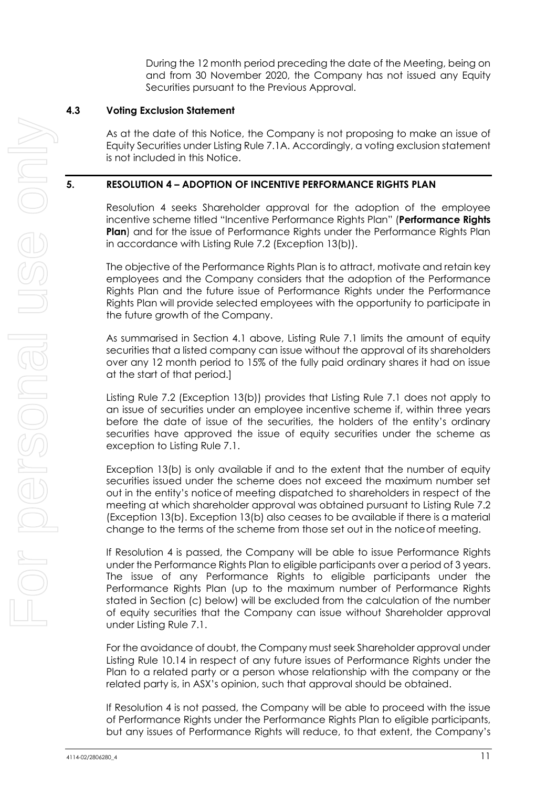During the 12 month period preceding the date of the Meeting, being on and from 30 November 2020, the Company has not issued any Equity Securities pursuant to the Previous Approval.

## **4.3 Voting Exclusion Statement**

As at the date of this Notice, the Company is not proposing to make an issue of Equity Securities under Listing Rule 7.1A. Accordingly, a voting exclusion statement is not included in this Notice.

## **5. RESOLUTION 4 – ADOPTION OF INCENTIVE PERFORMANCE RIGHTS PLAN**

Resolution 4 seeks Shareholder approval for the adoption of the employee incentive scheme titled "Incentive Performance Rights Plan" (**Performance Rights Plan**) and for the issue of Performance Rights under the Performance Rights Plan in accordance with Listing Rule 7.2 (Exception 13(b)).

The objective of the Performance Rights Plan is to attract, motivate and retain key employees and the Company considers that the adoption of the Performance Rights Plan and the future issue of Performance Rights under the Performance Rights Plan will provide selected employees with the opportunity to participate in the future growth of the Company.

As summarised in Section [4.1](#page-7-0) above, Listing Rule 7.1 limits the amount of equity securities that a listed company can issue without the approval of its shareholders over any 12 month period to 15% of the fully paid ordinary shares it had on issue at the start of that period.]

Listing Rule 7.2 (Exception 13(b)) provides that Listing Rule 7.1 does not apply to an issue of securities under an employee incentive scheme if, within three years before the date of issue of the securities, the holders of the entity's ordinary securities have approved the issue of equity securities under the scheme as exception to Listing Rule 7.1.

Exception 13(b) is only available if and to the extent that the number of equity securities issued under the scheme does not exceed the maximum number set out in the entity's noticeof meeting dispatched to shareholders in respect of the meeting at which shareholder approval was obtained pursuant to Listing Rule 7.2 (Exception 13(b). Exception 13(b) also ceases to be available if there is a material change to the terms of the scheme from those set out in the noticeof meeting.

If Resolution 4 is passed, the Company will be able to issue Performance Rights under the Performance Rights Plan to eligible participants over a period of 3 years. The issue of any Performance Rights to eligible participants under the Performance Rights Plan (up to the maximum number of Performance Rights stated in Section [\(c\)](#page-12-0) below) will be excluded from the calculation of the number of equity securities that the Company can issue without Shareholder approval under Listing Rule 7.1.

For the avoidance of doubt, the Company must seek Shareholder approval under Listing Rule 10.14 in respect of any future issues of Performance Rights under the Plan to a related party or a person whose relationship with the company or the related party is, in ASX's opinion, such that approval should be obtained.

If Resolution 4 is not passed, the Company will be able to proceed with the issue of Performance Rights under the Performance Rights Plan to eligible participants, but any issues of Performance Rights will reduce, to that extent, the Company's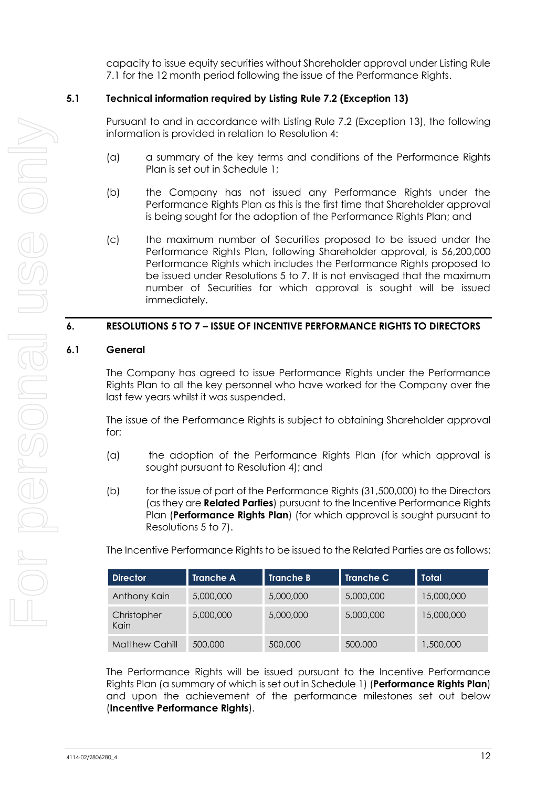capacity to issue equity securities without Shareholder approval under Listing Rule 7.1 for the 12 month period following the issue of the Performance Rights.

## **5.1 Technical information required by Listing Rule 7.2 (Exception 13)**

Pursuant to and in accordance with Listing Rule 7.2 (Exception 13), the following information is provided in relation to Resolution 4:

- (a) a summary of the key terms and conditions of the Performance Rights Plan is set out in Schedule 1;
- (b) the Company has not issued any Performance Rights under the Performance Rights Plan as this is the first time that Shareholder approval is being sought for the adoption of the Performance Rights Plan; and
- <span id="page-12-0"></span>(c) the maximum number of Securities proposed to be issued under the Performance Rights Plan, following Shareholder approval, is 56,200,000 Performance Rights which includes the Performance Rights proposed to be issued under Resolutions 5 to 7. It is not envisaged that the maximum number of Securities for which approval is sought will be issued immediately.

## **6. RESOLUTIONS 5 TO 7 – ISSUE OF INCENTIVE PERFORMANCE RIGHTS TO DIRECTORS**

## **6.1 General**

The Company has agreed to issue Performance Rights under the Performance Rights Plan to all the key personnel who have worked for the Company over the last few years whilst it was suspended.

The issue of the Performance Rights is subject to obtaining Shareholder approval for:

- (a) the adoption of the Performance Rights Plan (for which approval is sought pursuant to Resolution 4); and
- (b) for the issue of part of the Performance Rights (31,500,000) to the Directors (as they are **Related Parties**) pursuant to the Incentive Performance Rights Plan (**Performance Rights Plan**) (for which approval is sought pursuant to Resolutions 5 to 7).

The Incentive Performance Rights to be issued to the Related Parties are as follows:

| <b>Director</b>       | <b>Tranche A</b> | <b>Tranche B</b> | <b>Tranche C</b> | <b>Total</b> |
|-----------------------|------------------|------------------|------------------|--------------|
| Anthony Kain          | 5,000,000        | 5,000,000        | 5,000,000        | 15,000,000   |
| Christopher<br>Kain   | 5,000,000        | 5,000,000        | 5,000,000        | 15,000,000   |
| <b>Matthew Cahill</b> | 500,000          | 500,000          | 500,000          | 1,500,000    |

The Performance Rights will be issued pursuant to the Incentive Performance Rights Plan (a summary of which is set out in Schedule 1) (**Performance Rights Plan**) and upon the achievement of the performance milestones set out below (**Incentive Performance Rights**).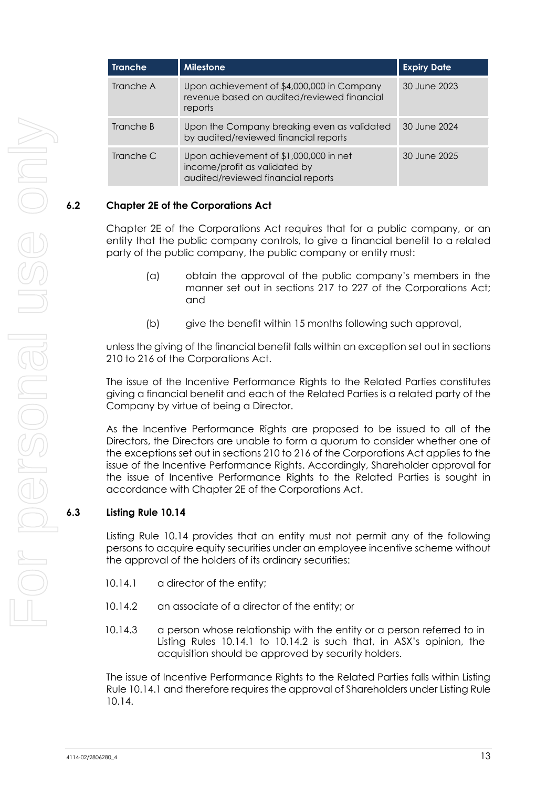| <b>Tranche</b> | <b>Milestone</b>                                                                                              | <b>Expiry Date</b> |
|----------------|---------------------------------------------------------------------------------------------------------------|--------------------|
| Tranche A      | Upon achievement of \$4,000,000 in Company<br>revenue based on audited/reviewed financial<br>reports          | 30 June 2023       |
| Tranche B      | Upon the Company breaking even as validated<br>by audited/reviewed financial reports                          | 30 June 2024       |
| Tranche C      | Upon achievement of \$1,000,000 in net<br>income/profit as validated by<br>audited/reviewed financial reports | 30 June 2025       |

## **6.2 Chapter 2E of the Corporations Act**

Chapter 2E of the Corporations Act requires that for a public company, or an entity that the public company controls, to give a financial benefit to a related party of the public company, the public company or entity must:

- (a) obtain the approval of the public company's members in the manner set out in sections 217 to 227 of the Corporations Act; and
- (b) give the benefit within 15 months following such approval,

unless the giving of the financial benefit falls within an exception set out in sections 210 to 216 of the Corporations Act.

The issue of the Incentive Performance Rights to the Related Parties constitutes giving a financial benefit and each of the Related Parties is a related party of the Company by virtue of being a Director.

As the Incentive Performance Rights are proposed to be issued to all of the Directors, the Directors are unable to form a quorum to consider whether one of the exceptions set out in sections 210 to 216 of the Corporations Act applies to the issue of the Incentive Performance Rights. Accordingly, Shareholder approval for the issue of Incentive Performance Rights to the Related Parties is sought in accordance with Chapter 2E of the Corporations Act.

## **6.3 Listing Rule 10.14**

Listing Rule 10.14 provides that an entity must not permit any of the following persons to acquire equity securities under an employee incentive scheme without the approval of the holders of its ordinary securities:

- 10.14.1 a director of the entity;
- 10.14.2 an associate of a director of the entity; or
- 10.14.3 a person whose relationship with the entity or a person referred to in Listing Rules 10.14.1 to 10.14.2 is such that, in ASX's opinion, the acquisition should be approved by security holders.

The issue of Incentive Performance Rights to the Related Parties falls within Listing Rule 10.14.1 and therefore requires the approval of Shareholders under Listing Rule 10.14.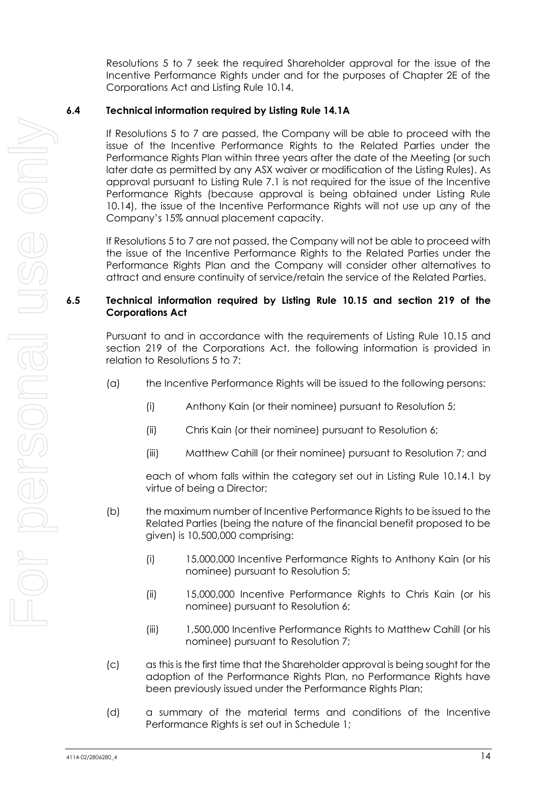Resolutions 5 to 7 seek the required Shareholder approval for the issue of the Incentive Performance Rights under and for the purposes of Chapter 2E of the Corporations Act and Listing Rule 10.14.

## **6.4 Technical information required by Listing Rule 14.1A**

If Resolutions 5 to 7 are passed, the Company will be able to proceed with the issue of the Incentive Performance Rights to the Related Parties under the Performance Rights Plan within three years after the date of the Meeting (or such later date as permitted by any ASX waiver or modification of the Listing Rules). As approval pursuant to Listing Rule 7.1 is not required for the issue of the Incentive Performance Rights (because approval is being obtained under Listing Rule 10.14), the issue of the Incentive Performance Rights will not use up any of the Company's 15% annual placement capacity.

If Resolutions 5 to 7 are not passed, the Company will not be able to proceed with the issue of the Incentive Performance Rights to the Related Parties under the Performance Rights Plan and the Company will consider other alternatives to attract and ensure continuity of service/retain the service of the Related Parties.

## **6.5 Technical information required by Listing Rule 10.15 and section 219 of the Corporations Act**

Pursuant to and in accordance with the requirements of Listing Rule 10.15 and section 219 of the Corporations Act, the following information is provided in relation to Resolutions 5 to 7:

- (a) the Incentive Performance Rights will be issued to the following persons:
	- (i) Anthony Kain (or their nominee) pursuant to Resolution 5;
	- (ii) Chris Kain (or their nominee) pursuant to Resolution 6;
	- (iii) Matthew Cahill (or their nominee) pursuant to Resolution 7; and

each of whom falls within the category set out in Listing Rule 10.14.1 by virtue of being a Director;

- (b) the maximum number of Incentive Performance Rights to be issued to the Related Parties (being the nature of the financial benefit proposed to be given) is 10,500,000 comprising:
	- (i) 15,000,000 Incentive Performance Rights to Anthony Kain (or his nominee) pursuant to Resolution 5;
	- (ii) 15,000,000 Incentive Performance Rights to Chris Kain (or his nominee) pursuant to Resolution 6;
	- (iii) 1,500,000 Incentive Performance Rights to Matthew Cahill (or his nominee) pursuant to Resolution 7;
- (c) as this is the first time that the Shareholder approval is being sought for the adoption of the Performance Rights Plan, no Performance Rights have been previously issued under the Performance Rights Plan;
- (d) a summary of the material terms and conditions of the Incentive Performance Rights is set out in Schedule 1;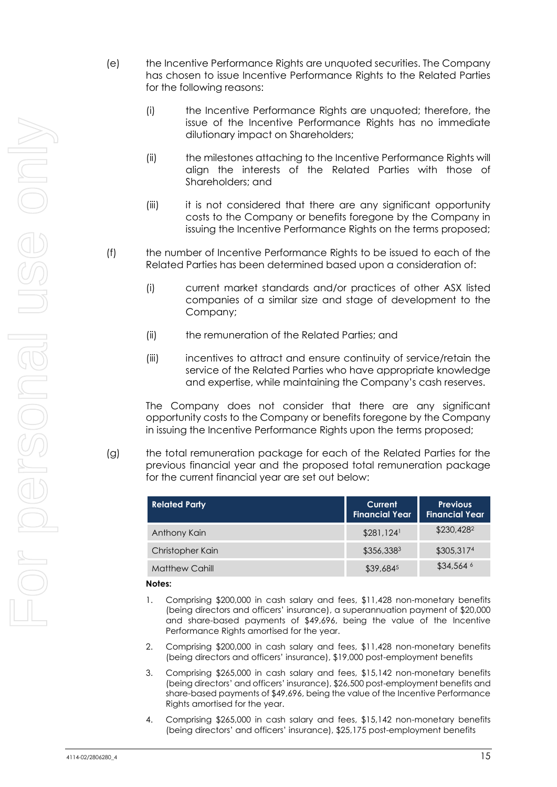- (e) the Incentive Performance Rights are unquoted securities. The Company has chosen to issue Incentive Performance Rights to the Related Parties for the following reasons:
	- (i) the Incentive Performance Rights are unquoted; therefore, the issue of the Incentive Performance Rights has no immediate dilutionary impact on Shareholders;
	- (ii) the milestones attaching to the Incentive Performance Rights will align the interests of the Related Parties with those of Shareholders; and
	- (iii) it is not considered that there are any significant opportunity costs to the Company or benefits foregone by the Company in issuing the Incentive Performance Rights on the terms proposed;
- (f) the number of Incentive Performance Rights to be issued to each of the Related Parties has been determined based upon a consideration of:
	- (i) current market standards and/or practices of other ASX listed companies of a similar size and stage of development to the Company;
	- (ii) the remuneration of the Related Parties; and
	- (iii) incentives to attract and ensure continuity of service/retain the service of the Related Parties who have appropriate knowledge and expertise, while maintaining the Company's cash reserves.

The Company does not consider that there are any significant opportunity costs to the Company or benefits foregone by the Company in issuing the Incentive Performance Rights upon the terms proposed:

(g) the total remuneration package for each of the Related Parties for the previous financial year and the proposed total remuneration package for the current financial year are set out below:

| <b>Related Party</b>  | Current<br><b>Financial Year</b> | <b>Previous</b><br><b>Financial Year</b> |  |  |
|-----------------------|----------------------------------|------------------------------------------|--|--|
| Anthony Kain          | $$281,124$ <sup>1</sup>          | \$230,428 <sup>2</sup>                   |  |  |
| Christopher Kain      | \$356,3383                       | \$305,3174                               |  |  |
| <b>Matthew Cahill</b> | \$39,6845                        | $$34,564$ <sup>6</sup>                   |  |  |

#### **Notes:**

- 1. Comprising \$200,000 in cash salary and fees, \$11,428 non-monetary benefits (being directors and officers' insurance), a superannuation payment of \$20,000 and share-based payments of \$49,696, being the value of the Incentive Performance Rights amortised for the year.
- 2. Comprising \$200,000 in cash salary and fees, \$11,428 non-monetary benefits (being directors and officers' insurance), \$19,000 post-employment benefits
- 3. Comprising \$265,000 in cash salary and fees, \$15,142 non-monetary benefits (being directors' and officers' insurance), \$26,500 post-employment benefits and share-based payments of \$49,696, being the value of the Incentive Performance Rights amortised for the year.
- 4. Comprising \$265,000 in cash salary and fees, \$15,142 non-monetary benefits (being directors' and officers' insurance), \$25,175 post-employment benefits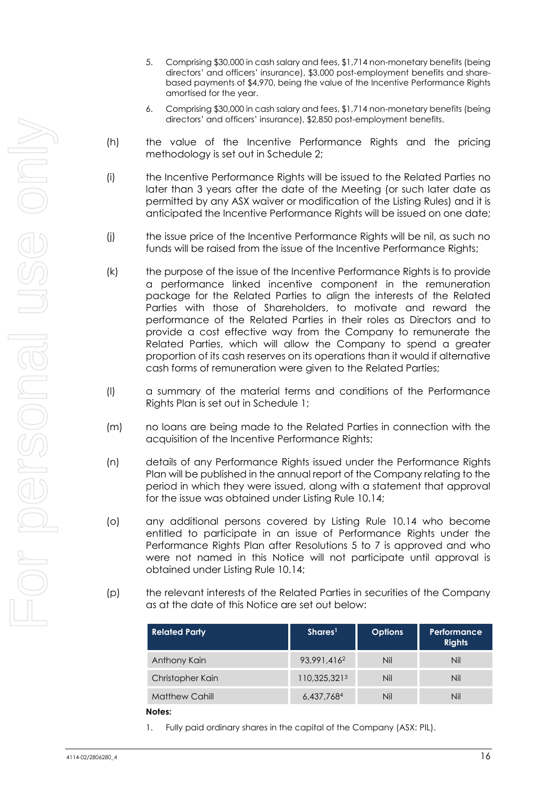- 5. Comprising \$30,000 in cash salary and fees, \$1,714 non-monetary benefits (being directors' and officers' insurance), \$3,000 post-employment benefits and sharebased payments of \$4,970, being the value of the Incentive Performance Rights amortised for the year.
- 6. Comprising \$30,000 in cash salary and fees, \$1,714 non-monetary benefits (being directors' and officers' insurance), \$2,850 post-employment benefits.
- (h) the value of the Incentive Performance Rights and the pricing methodology is set out in Schedule 2;
- (i) the Incentive Performance Rights will be issued to the Related Parties no later than 3 years after the date of the Meeting (or such later date as permitted by any ASX waiver or modification of the Listing Rules) and it is anticipated the Incentive Performance Rights will be issued on one date;
- (j) the issue price of the Incentive Performance Rights will be nil, as such no funds will be raised from the issue of the Incentive Performance Rights;
- (k) the purpose of the issue of the Incentive Performance Rights is to provide a performance linked incentive component in the remuneration package for the Related Parties to align the interests of the Related Parties with those of Shareholders, to motivate and reward the performance of the Related Parties in their roles as Directors and to provide a cost effective way from the Company to remunerate the Related Parties, which will allow the Company to spend a greater proportion of its cash reserves on its operations than it would if alternative cash forms of remuneration were given to the Related Parties;
- (l) a summary of the material terms and conditions of the Performance Rights Plan is set out in Schedule 1;
- (m) no loans are being made to the Related Parties in connection with the acquisition of the Incentive Performance Rights;
- (n) details of any Performance Rights issued under the Performance Rights Plan will be published in the annual report of the Company relating to the period in which they were issued, along with a statement that approval for the issue was obtained under Listing Rule 10.14;
- (o) any additional persons covered by Listing Rule 10.14 who become entitled to participate in an issue of Performance Rights under the Performance Rights Plan after Resolutions 5 to 7 is approved and who were not named in this Notice will not participate until approval is obtained under Listing Rule 10.14;
- (p) the relevant interests of the Related Parties in securities of the Company as at the date of this Notice are set out below:

| <b>Related Party</b>                           | Shares <sup>1</sup>     | <b>Options</b> | Performance<br><b>Rights</b> |  |
|------------------------------------------------|-------------------------|----------------|------------------------------|--|
| Anthony Kain                                   | 93.991.416 <sup>2</sup> | Nil            | Nil                          |  |
| Christopher Kain                               | 110,325,3213            | Nil            | Nil                          |  |
| <b>Matthew Cahill</b>                          | 6,437,7684              | Nil            | Nil                          |  |
| $\mathbf{M}$ and $\mathbf{L}$ and $\mathbf{L}$ |                         |                |                              |  |

#### **Notes:**

1. Fully paid ordinary shares in the capital of the Company (ASX: PIL).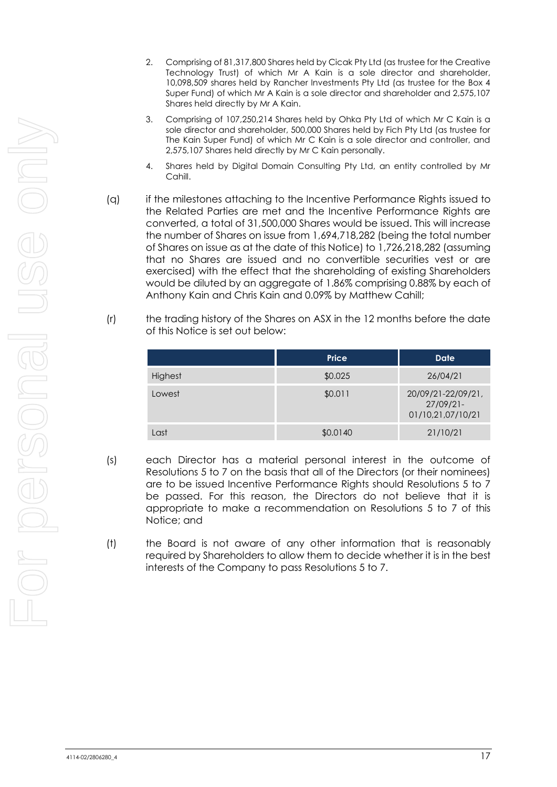- 2. Comprising of 81,317,800 Shares held by Cicak Pty Ltd (as trustee for the Creative Technology Trust) of which Mr A Kain is a sole director and shareholder, 10,098,509 shares held by Rancher Investments Pty Ltd (as trustee for the Box 4 Super Fund) of which Mr A Kain is a sole director and shareholder and 2,575,107 Shares held directly by Mr A Kain.
- 3. Comprising of 107,250,214 Shares held by Ohka Pty Ltd of which Mr C Kain is a sole director and shareholder, 500,000 Shares held by Fich Pty Ltd (as trustee for The Kain Super Fund) of which Mr C Kain is a sole director and controller, and 2,575,107 Shares held directly by Mr C Kain personally.
- 4. Shares held by Digital Domain Consulting Pty Ltd, an entity controlled by Mr Cahill.
- (q) if the milestones attaching to the Incentive Performance Rights issued to the Related Parties are met and the Incentive Performance Rights are converted, a total of 31,500,000 Shares would be issued. This will increase the number of Shares on issue from 1,694,718,282 (being the total number of Shares on issue as at the date of this Notice) to 1,726,218,282 (assuming that no Shares are issued and no convertible securities vest or are exercised) with the effect that the shareholding of existing Shareholders would be diluted by an aggregate of 1.86% comprising 0.88% by each of Anthony Kain and Chris Kain and 0.09% by Matthew Cahill;
- (r) the trading history of the Shares on ASX in the 12 months before the date of this Notice is set out below:

|         | <b>Price</b> | <b>Date</b>                                             |
|---------|--------------|---------------------------------------------------------|
| Highest | \$0.025      | 26/04/21                                                |
| Lowest  | \$0.011      | 20/09/21-22/09/21,<br>$27/09/21$ -<br>01/10,21,07/10/21 |
| Last    | \$0.0140     | 21/10/21                                                |

- (s) each Director has a material personal interest in the outcome of Resolutions 5 to 7 on the basis that all of the Directors (or their nominees) are to be issued Incentive Performance Rights should Resolutions 5 to 7 be passed. For this reason, the Directors do not believe that it is appropriate to make a recommendation on Resolutions 5 to 7 of this Notice; and
- (t) the Board is not aware of any other information that is reasonably required by Shareholders to allow them to decide whether it is in the best interests of the Company to pass Resolutions 5 to 7.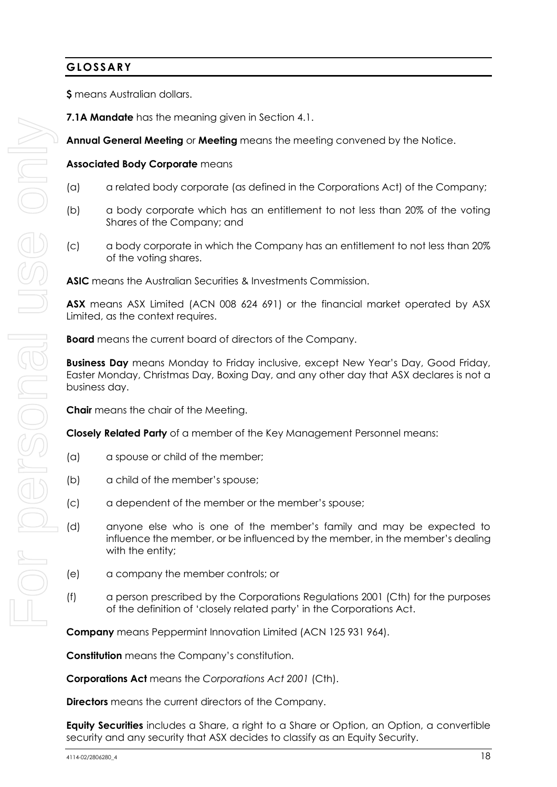## **GLOSSARY**

**\$** means Australian dollars.

**Annual General Meeting** or **Meeting** means the meeting convened by the Notice.

## **Associated Body Corporate** means

- (a) a related body corporate (as defined in the Corporations Act) of the Company;
- (b) a body corporate which has an entitlement to not less than 20% of the voting Shares of the Company; and
- (c) a body corporate in which the Company has an entitlement to not less than 20% of the voting shares.

**ASIC** means the Australian Securities & Investments Commission.

**ASX** means ASX Limited (ACN 008 624 691) or the financial market operated by ASX Limited, as the context requires.

**Board** means the current board of directors of the Company.

**Business Day** means Monday to Friday inclusive, except New Year's Day, Good Friday, Easter Monday, Christmas Day, Boxing Day, and any other day that ASX declares is not a business day.

**Chair** means the chair of the Meeting.

**Closely Related Party** of a member of the Key Management Personnel means:

- (a) a spouse or child of the member;
- (b) a child of the member's spouse;
- (c) a dependent of the member or the member's spouse;
- (d) anyone else who is one of the member's family and may be expected to influence the member, or be influenced by the member, in the member's dealing with the entity;
- (e) a company the member controls; or
- (f) a person prescribed by the Corporations Regulations 2001 (Cth) for the purposes of the definition of 'closely related party' in the Corporations Act.

**Company** means Peppermint Innovation Limited (ACN 125 931 964).

**Constitution** means the Company's constitution.

**Corporations Act** means the *Corporations Act 2001* (Cth).

**Directors** means the current directors of the Company.

**Equity Securities** includes a Share, a right to a Share or Option, an Option, a convertible security and any security that ASX decides to classify as an Equity Security.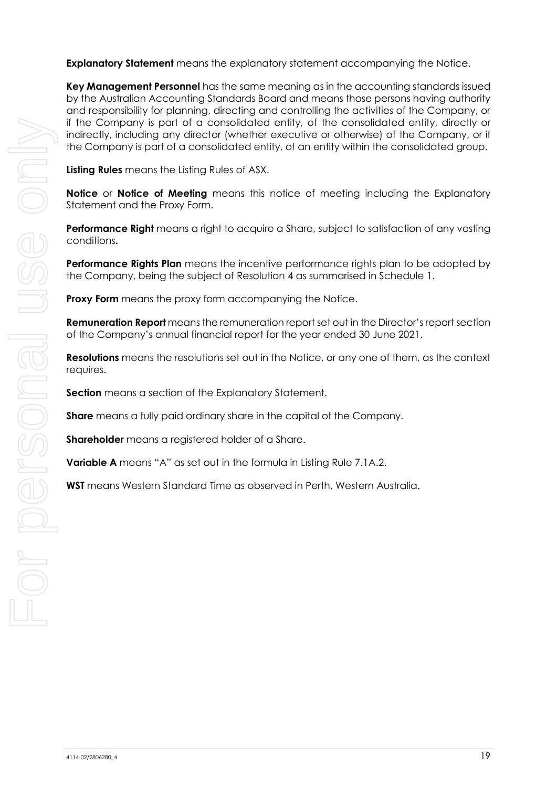**Explanatory Statement** means the explanatory statement accompanying the Notice.

**Key Management Personnel** has the same meaning as in the accounting standards issued by the Australian Accounting Standards Board and means those persons having authority and responsibility for planning, directing and controlling the activities of the Company, or if the Company is part of a consolidated entity, of the consolidated entity, directly or indirectly, including any director (whether executive or otherwise) of the Company, or if the Company is part of a consolidated entity, of an entity within the consolidated group.

**Listing Rules** means the Listing Rules of ASX.

**Notice** or **Notice of Meeting** means this notice of meeting including the Explanatory Statement and the Proxy Form.

**Performance Right** means a right to acquire a Share, subject to satisfaction of any vesting conditions**.**

**Performance Rights Plan** means the incentive performance rights plan to be adopted by the Company, being the subject of Resolution 4 as summarised in Schedule 1.

**Proxy Form** means the proxy form accompanying the Notice.

**Remuneration Report** means the remuneration report set out in the Director's report section of the Company's annual financial report for the year ended 30 June 2021.

**Resolutions** means the resolutions set out in the Notice, or any one of them, as the context requires.

**Section** means a section of the Explanatory Statement.

**Share** means a fully paid ordinary share in the capital of the Company.

**Shareholder** means a registered holder of a Share.

**Variable A** means "A" as set out in the formula in Listing Rule 7.1A.2.

**WST** means Western Standard Time as observed in Perth, Western Australia.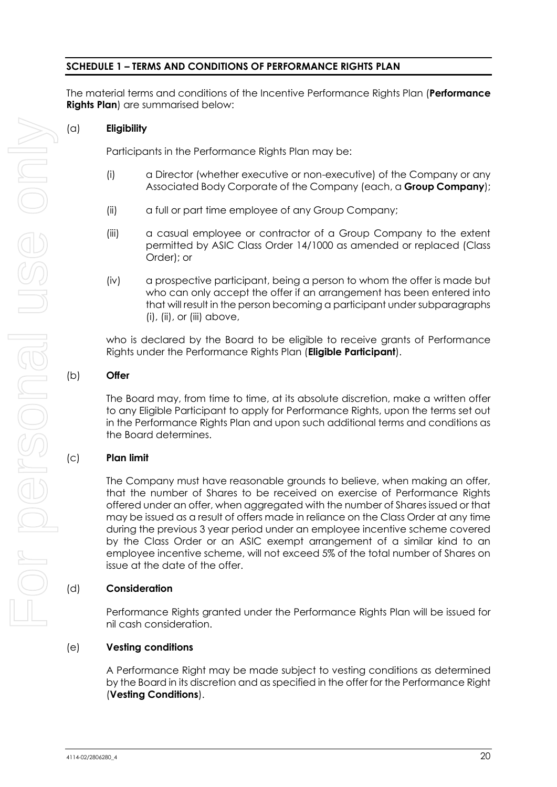## **SCHEDULE 1 – TERMS AND CONDITIONS OF PERFORMANCE RIGHTS PLAN**

The material terms and conditions of the Incentive Performance Rights Plan (**Performance Rights Plan**) are summarised below:

## (a) **Eligibility**

Participants in the Performance Rights Plan may be:

- (i) a Director (whether executive or non-executive) of the Company or any Associated Body Corporate of the Company (each, a **Group Company**);
- (ii) a full or part time employee of any Group Company;
- (iii) a casual employee or contractor of a Group Company to the extent permitted by ASIC Class Order 14/1000 as amended or replaced (Class Order); or
- (iv) a prospective participant, being a person to whom the offer is made but who can only accept the offer if an arrangement has been entered into that will result in the person becoming a participant under subparagraphs  $(i)$ ,  $(ii)$ , or  $(iii)$  above,

who is declared by the Board to be eligible to receive grants of Performance Rights under the Performance Rights Plan (**Eligible Participant**).

## (b) **Offer**

The Board may, from time to time, at its absolute discretion, make a written offer to any Eligible Participant to apply for Performance Rights, upon the terms set out in the Performance Rights Plan and upon such additional terms and conditions as the Board determines.

## (c) **Plan limit**

The Company must have reasonable grounds to believe, when making an offer, that the number of Shares to be received on exercise of Performance Rights offered under an offer, when aggregated with the number of Shares issued or that may be issued as a result of offers made in reliance on the Class Order at any time during the previous 3 year period under an employee incentive scheme covered by the Class Order or an ASIC exempt arrangement of a similar kind to an employee incentive scheme, will not exceed 5% of the total number of Shares on issue at the date of the offer.

## (d) **Consideration**

Performance Rights granted under the Performance Rights Plan will be issued for nil cash consideration.

## (e) **Vesting conditions**

A Performance Right may be made subject to vesting conditions as determined by the Board in its discretion and as specified in the offer for the Performance Right (**Vesting Conditions**).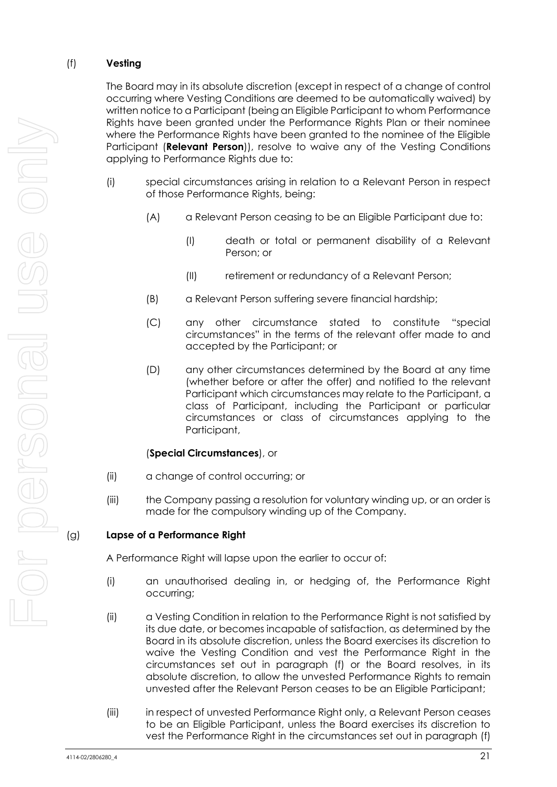## <span id="page-21-0"></span>(f) **Vesting**

The Board may in its absolute discretion (except in respect of a change of control occurring where Vesting Conditions are deemed to be automatically waived) by written notice to a Participant (being an Eligible Participant to whom Performance Rights have been granted under the Performance Rights Plan or their nominee where the Performance Rights have been granted to the nominee of the Eligible Participant (**Relevant Person**)), resolve to waive any of the Vesting Conditions applying to Performance Rights due to:

- (i) special circumstances arising in relation to a Relevant Person in respect of those Performance Rights, being:
	- (A) a Relevant Person ceasing to be an Eligible Participant due to:
		- (I) death or total or permanent disability of a Relevant Person; or
		- (II) retirement or redundancy of a Relevant Person;
	- (B) a Relevant Person suffering severe financial hardship;
	- (C) any other circumstance stated to constitute "special circumstances" in the terms of the relevant offer made to and accepted by the Participant; or
	- (D) any other circumstances determined by the Board at any time (whether before or after the offer) and notified to the relevant Participant which circumstances may relate to the Participant, a class of Participant, including the Participant or particular circumstances or class of circumstances applying to the Participant,

## (**Special Circumstances**), or

- (ii) a change of control occurring; or
- (iii) the Company passing a resolution for voluntary winding up, or an order is made for the compulsory winding up of the Company.

## (g) **Lapse of a Performance Right**

A Performance Right will lapse upon the earlier to occur of:

- (i) an unauthorised dealing in, or hedging of, the Performance Right occurring;
- (ii) a Vesting Condition in relation to the Performance Right is not satisfied by its due date, or becomes incapable of satisfaction, as determined by the Board in its absolute discretion, unless the Board exercises its discretion to waive the Vesting Condition and vest the Performance Right in the circumstances set out in paragraph [\(f\)](#page-21-0) or the Board resolves, in its absolute discretion, to allow the unvested Performance Rights to remain unvested after the Relevant Person ceases to be an Eligible Participant;
- (iii) in respect of unvested Performance Right only, a Relevant Person ceases to be an Eligible Participant, unless the Board exercises its discretion to vest the Performance Right in the circumstances set out in paragraph [\(f\)](#page-21-0)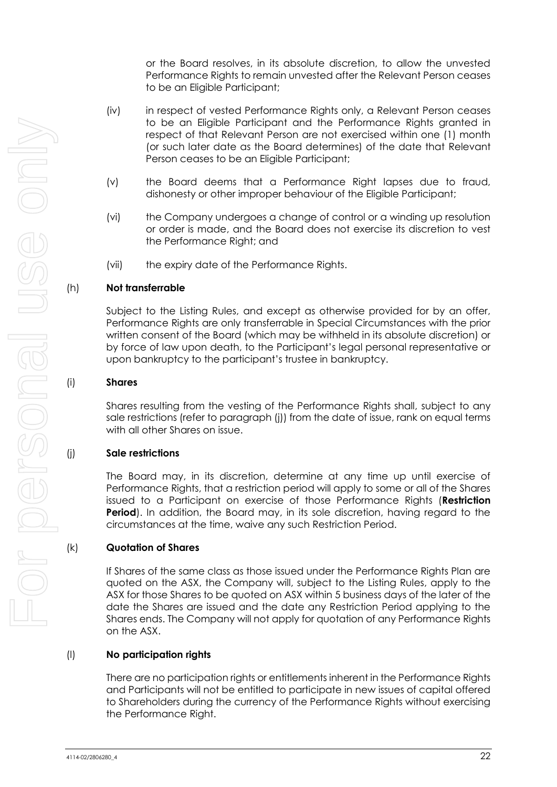or the Board resolves, in its absolute discretion, to allow the unvested Performance Rights to remain unvested after the Relevant Person ceases to be an Eligible Participant;

- (iv) in respect of vested Performance Rights only, a Relevant Person ceases to be an Eligible Participant and the Performance Rights granted in respect of that Relevant Person are not exercised within one (1) month (or such later date as the Board determines) of the date that Relevant Person ceases to be an Eligible Participant;
- (v) the Board deems that a Performance Right lapses due to fraud, dishonesty or other improper behaviour of the Eligible Participant;
- (vi) the Company undergoes a change of control or a winding up resolution or order is made, and the Board does not exercise its discretion to vest the Performance Right; and
- (vii) the expiry date of the Performance Rights.

#### (h) **Not transferrable**

Subject to the Listing Rules, and except as otherwise provided for by an offer, Performance Rights are only transferrable in Special Circumstances with the prior written consent of the Board (which may be withheld in its absolute discretion) or by force of law upon death, to the Participant's legal personal representative or upon bankruptcy to the participant's trustee in bankruptcy.

#### (i) **Shares**

Shares resulting from the vesting of the Performance Rights shall, subject to any sale restrictions (refer to paragraph [\(j\)\)](#page-22-0) from the date of issue, rank on equal terms with all other Shares on issue.

## <span id="page-22-0"></span>(j) **Sale restrictions**

The Board may, in its discretion, determine at any time up until exercise of Performance Rights, that a restriction period will apply to some or all of the Shares issued to a Participant on exercise of those Performance Rights (**Restriction Period**). In addition, the Board may, in its sole discretion, having regard to the circumstances at the time, waive any such Restriction Period.

#### (k) **Quotation of Shares**

If Shares of the same class as those issued under the Performance Rights Plan are quoted on the ASX, the Company will, subject to the Listing Rules, apply to the ASX for those Shares to be quoted on ASX within 5 business days of the later of the date the Shares are issued and the date any Restriction Period applying to the Shares ends. The Company will not apply for quotation of any Performance Rights on the ASX.

## (l) **No participation rights**

There are no participation rights or entitlements inherent in the Performance Rights and Participants will not be entitled to participate in new issues of capital offered to Shareholders during the currency of the Performance Rights without exercising the Performance Right.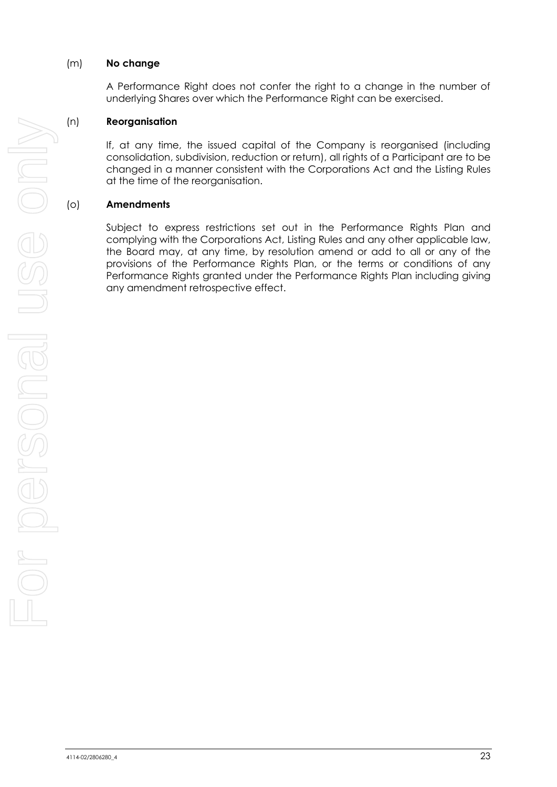## (m) **No change**

A Performance Right does not confer the right to a change in the number of underlying Shares over which the Performance Right can be exercised.

#### (n) **Reorganisation**

If, at any time, the issued capital of the Company is reorganised (including consolidation, subdivision, reduction or return), all rights of a Participant are to be changed in a manner consistent with the Corporations Act and the Listing Rules at the time of the reorganisation.

## (o) **Amendments**

Subject to express restrictions set out in the Performance Rights Plan and complying with the Corporations Act, Listing Rules and any other applicable law, the Board may, at any time, by resolution amend or add to all or any of the provisions of the Performance Rights Plan, or the terms or conditions of any Performance Rights granted under the Performance Rights Plan including giving any amendment retrospective effect.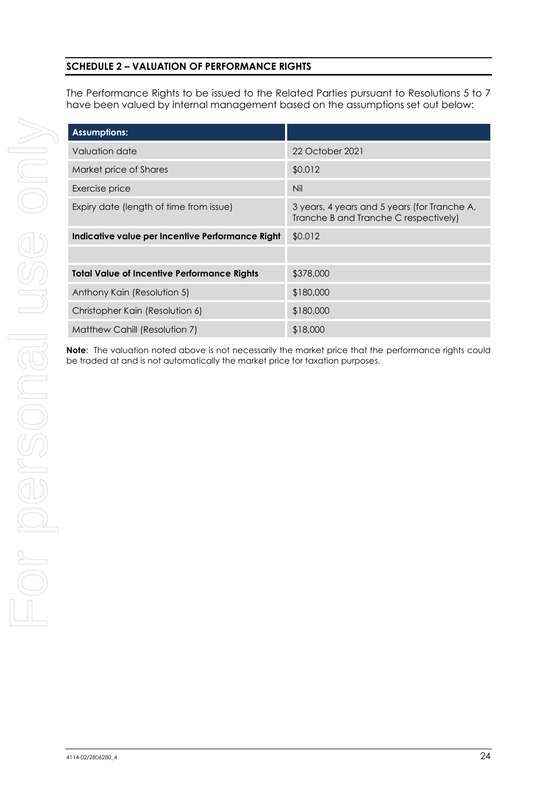## **SCHEDULE 2 – VALUATION OF PERFORMANCE RIGHTS**

The Performance Rights to be issued to the Related Parties pursuant to Resolutions 5 to 7 have been valued by internal management based on the assumptions set out below:

| <b>Assumptions:</b>                                |                                                                                       |
|----------------------------------------------------|---------------------------------------------------------------------------------------|
| Valuation date                                     | 22 October 2021                                                                       |
| Market price of Shares                             | \$0.012                                                                               |
| Exercise price                                     | Nil                                                                                   |
| Expiry date (length of time from issue)            | 3 years, 4 years and 5 years (for Tranche A,<br>Tranche B and Tranche C respectively) |
| Indicative value per Incentive Performance Right   | \$0.012                                                                               |
|                                                    |                                                                                       |
| <b>Total Value of Incentive Performance Rights</b> | \$378,000                                                                             |
| Anthony Kain (Resolution 5)                        | \$180,000                                                                             |
| Christopher Kain (Resolution 6)                    | \$180,000                                                                             |
| Matthew Cahill (Resolution 7)                      | \$18,000                                                                              |

**Note**: The valuation noted above is not necessarily the market price that the performance rights could be traded at and is not automatically the market price for taxation purposes.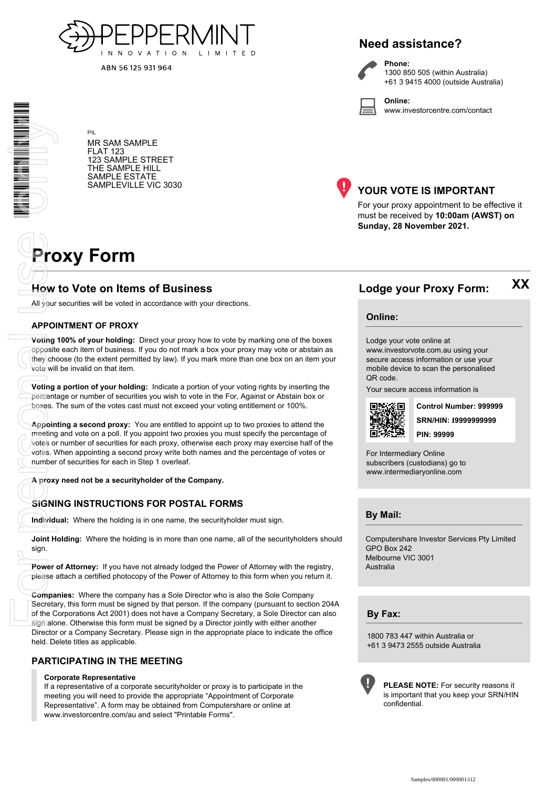

ABN 56 125 931 964

## **Need assistance?**

**Phone:**



1300 850 505 (within Australia) +61 3 9415 4000 (outside Australia)

**Online:** www.investorcentre.com/contact

MR SAM SAMPLE FLAT 123 123 SAMPLE STREET THE SAMPLE HILL SAMPLE ESTATE SAMPLEVILLE VIC 3030



## **YOUR VOTE IS IMPORTANT**

For your proxy appointment to be effective it must be received by **10:00am (AWST) on Sunday, 28 November 2021.**

# **Proxy Form**

PIL

## **How to Vote on Items of Business Lodge your Proxy Form:**

All your securities will be voted in accordance with your directions.

#### **APPOINTMENT OF PROXY**

**Voting 100% of your holding:** Direct your proxy how to vote by marking one of the boxes opposite each item of business. If you do not mark a box your proxy may vote or abstain as they choose (to the extent permitted by law). If you mark more than one box on an item your vote will be invalid on that item.

**Voting a portion of your holding:** Indicate a portion of your voting rights by inserting the percentage or number of securities you wish to vote in the For, Against or Abstain box or boxes. The sum of the votes cast must not exceed your voting entitlement or 100%.

**Appointing a second proxy:** You are entitled to appoint up to two proxies to attend the meeting and vote on a poll. If you appoint two proxies you must specify the percentage of votes or number of securities for each proxy, otherwise each proxy may exercise half of the votes. When appointing a second proxy write both names and the percentage of votes or number of securities for each in Step 1 overleaf. **Example 19**<br> **Example 2014**<br> **Example 19**<br> **Example 19**<br> **Example 19**<br> **Example 19**<br> **Example 19**<br> **Example 19**<br> **Example 19**<br> **Example 19**<br> **Example 19**<br> **Example 19**<br> **Example 19**<br> **Example 19**<br> **Example 19**<br> **Example 1** 

**A proxy need not be a securityholder of the Company.**

#### **SIGNING INSTRUCTIONS FOR POSTAL FORMS**

**Individual:** Where the holding is in one name, the securityholder must sign.

**Joint Holding:** Where the holding is in more than one name, all of the securityholders should sign.

**Power of Attorney:** If you have not already lodged the Power of Attorney with the registry, please attach a certified photocopy of the Power of Attorney to this form when you return it.

**Companies:** Where the company has a Sole Director who is also the Sole Company Secretary, this form must be signed by that person. If the company (pursuant to section 204A of the Corporations Act 2001) does not have a Company Secretary, a Sole Director can also sign alone. Otherwise this form must be signed by a Director jointly with either another Director or a Company Secretary. Please sign in the appropriate place to indicate the office held. Delete titles as applicable.

#### **PARTICIPATING IN THE MEETING**

#### **Corporate Representative**

If a representative of a corporate securityholder or proxy is to participate in the meeting you will need to provide the appropriate "Appointment of Corporate Representative". A form may be obtained from Computershare or online at www.investorcentre.com/au and select "Printable Forms".

#### **Online:**

Lodge your vote online at

www.investorvote.com.au using your secure access information or use your mobile device to scan the personalised QR code.

Your secure access information is



**SRN/HIN: I9999999999 Control Number: 999999 PIN: 99999**

**XX**

For Intermediary Online subscribers (custodians) go to www.intermediaryonline.com

**By Mail:**

Computershare Investor Services Pty Limited GPO Box 242 Melbourne VIC 3001 Australia

**By Fax:**

1800 783 447 within Australia or +61 3 9473 2555 outside Australia



**PLEASE NOTE:** For security reasons it is important that you keep your SRN/HIN confidential.